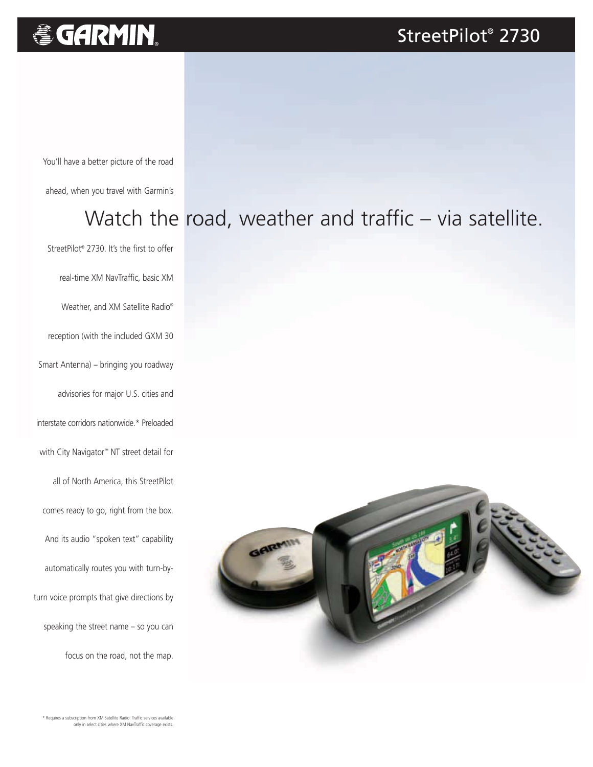# **&GARMIN.**

#### StreetPilot® 2730

You'll have a better picture of the road

ahead, when you travel with Garmin's

## Watch the road, weather and traffic - via satellite.

StreetPilot® 2730. It's the first to offer real-time XM NavTraffic, basic XM Weather, and XM Satellite Radio® reception (with the included GXM 30 Smart Antenna) – bringing you roadway advisories for major U.S. cities and interstate corridors nationwide.\* Preloaded with City Navigator™ NT street detail for all of North America, this StreetPilot comes ready to go, right from the box. And its audio "spoken text" capability automatically routes you with turn-byturn voice prompts that give directions by speaking the street name – so you can focus on the road, not the map.